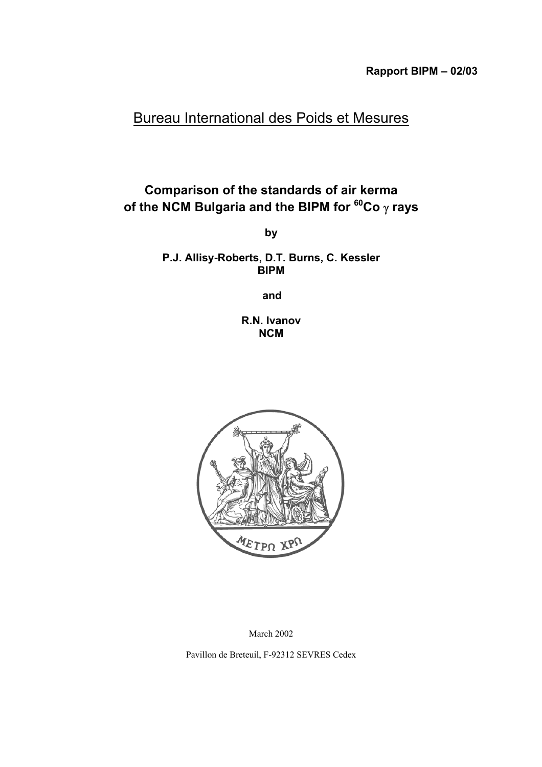# Bureau International des Poids et Mesures

## **Comparison of the standards of air kerma of the NCM Bulgaria and the BIPM for 60Co** γ **rays**

**by**

**P.J. Allisy-Roberts, D.T. Burns, C. Kessler BIPM**

**and**

**R.N. Ivanov NCM**



March 2002

Pavillon de Breteuil, F-92312 SEVRES Cedex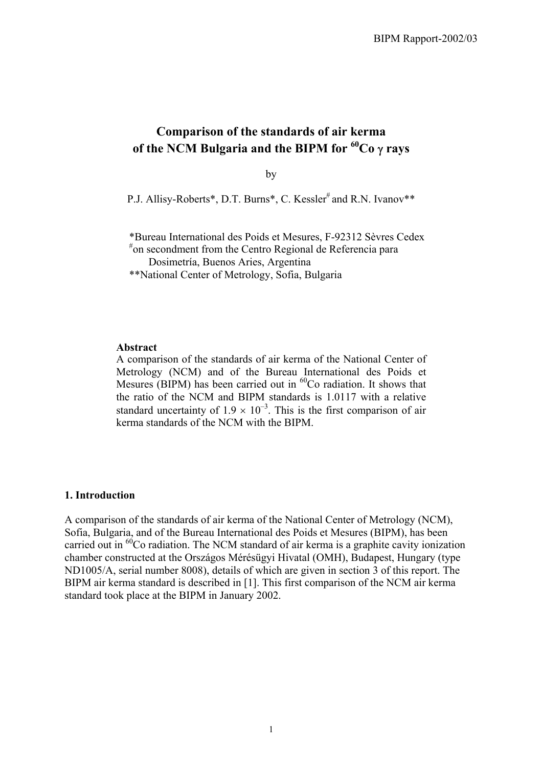## **Comparison of the standards of air kerma of the NCM Bulgaria and the BIPM for 60Co** γ **rays**

by

P.J. Allisy-Roberts\*, D.T. Burns\*, C. Kessler<sup>#</sup> and R.N. Ivanov\*\*

\*Bureau International des Poids et Mesures, F-92312 Sèvres Cedex

# on secondment from the Centro Regional de Referencia para

Dosimetría, Buenos Aries, Argentina \*\*National Center of Metrology, Sofia, Bulgaria

#### **Abstract**

A comparison of the standards of air kerma of the National Center of Metrology (NCM) and of the Bureau International des Poids et Mesures (BIPM) has been carried out in  ${}^{60}$ Co radiation. It shows that the ratio of the NCM and BIPM standards is 1.0117 with a relative standard uncertainty of  $1.9 \times 10^{-3}$ . This is the first comparison of air kerma standards of the NCM with the BIPM.

#### **1. Introduction**

A comparison of the standards of air kerma of the National Center of Metrology (NCM), Sofia, Bulgaria, and of the Bureau International des Poids et Mesures (BIPM), has been carried out in  ${}^{60}$ Co radiation. The NCM standard of air kerma is a graphite cavity ionization chamber constructed at the Országos Mérésügyi Hivatal (OMH), Budapest, Hungary (type ND1005/A, serial number 8008), details of which are given in section 3 of this report. The BIPM air kerma standard is described in [1]. This first comparison of the NCM air kerma standard took place at the BIPM in January 2002.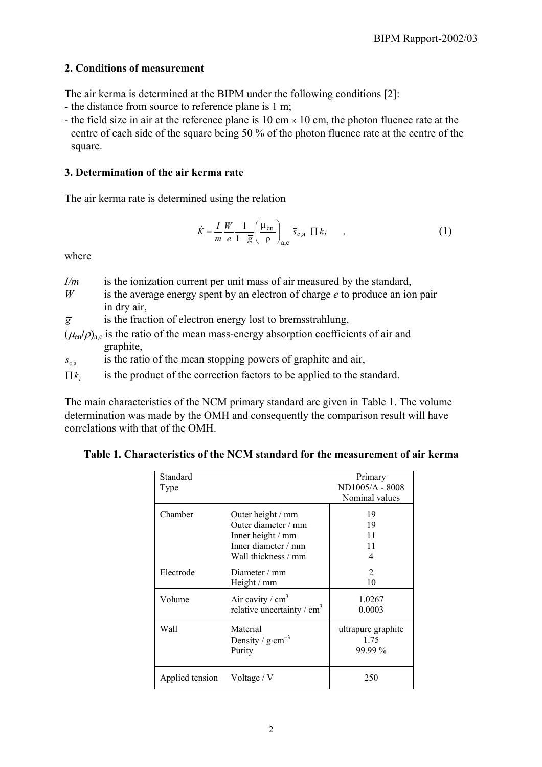### **2. Conditions of measurement**

The air kerma is determined at the BIPM under the following conditions [2]:

- the distance from source to reference plane is 1 m;
- the field size in air at the reference plane is 10 cm  $\times$  10 cm, the photon fluence rate at the centre of each side of the square being 50 % of the photon fluence rate at the centre of the square.

### **3. Determination of the air kerma rate**

The air kerma rate is determined using the relation

$$
\dot{K} = \frac{I}{m} \frac{W}{e} \frac{1}{1 - \overline{g}} \left( \frac{\mu_{en}}{\rho} \right)_{a,c} \overline{s}_{c,a} \prod k_i \qquad , \tag{1}
$$

where

- *I/m* is the ionization current per unit mass of air measured by the standard,
- *W* is the average energy spent by an electron of charge *e* to produce an ion pair in dry air,
- $\overline{g}$  is the fraction of electron energy lost to bremsstrahlung,
- $(\mu_{en}/\rho)_{ac}$  is the ratio of the mean mass-energy absorption coefficients of air and graphite,

 $\bar{s}_{\text{ca}}$  is the ratio of the mean stopping powers of graphite and air,

 $\prod k_i$  is the product of the correction factors to be applied to the standard.

The main characteristics of the NCM primary standard are given in Table 1. The volume determination was made by the OMH and consequently the comparison result will have correlations with that of the OMH.

**Table 1. Characteristics of the NCM standard for the measurement of air kerma**

| Standard<br>Type |                                                                                                             | Primary<br>ND1005/A - 8008<br>Nominal values |
|------------------|-------------------------------------------------------------------------------------------------------------|----------------------------------------------|
| Chamber          | Outer height / mm<br>Outer diameter / mm<br>Inner height / mm<br>Inner diameter / mm<br>Wall thickness / mm | 19<br>19<br>11<br>11<br>4                    |
| Electrode        | Diameter $/mm$<br>Height / mm                                                                               | 2<br>10                                      |
| Volume           | Air cavity / $cm3$<br>relative uncertainty / $cm3$                                                          | 1.0267<br>0.0003                             |
| Wall             | Material<br>Density / $g\cdot cm^{-3}$<br>Purity                                                            | ultrapure graphite<br>1.75<br>99.99%         |
| Applied tension  | Voltage $\sqrt{V}$                                                                                          | 250                                          |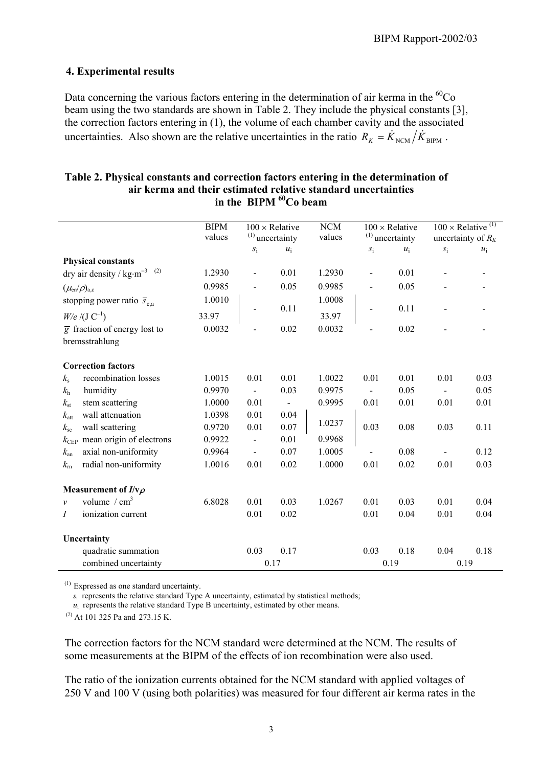### **4. Experimental results**

Data concerning the various factors entering in the determination of air kerma in the <sup>60</sup>Co beam using the two standards are shown in Table 2. They include the physical constants [3], the correction factors entering in (1), the volume of each chamber cavity and the associated uncertainties. Also shown are the relative uncertainties in the ratio  $R_K = \dot{K}_{NCM}/\dot{K}_{BIPM}$ .

|                    |                                                             | <b>BIPM</b> |                                            |                | NCM    |                                            |       |                                                              |       |
|--------------------|-------------------------------------------------------------|-------------|--------------------------------------------|----------------|--------|--------------------------------------------|-------|--------------------------------------------------------------|-------|
|                    |                                                             | values      | $100 \times$ Relative<br>$(1)$ uncertainty |                | values | $100 \times$ Relative<br>$(1)$ uncertainty |       | $100 \times$ Relative <sup>(1)</sup><br>uncertainty of $R_K$ |       |
|                    |                                                             |             | $S_1$                                      | $u_i$          |        | $S_{\rm i}$                                | $u_i$ | $S_1$                                                        | $u_i$ |
|                    | <b>Physical constants</b>                                   |             |                                            |                |        |                                            |       |                                                              |       |
|                    | dry air density / $\text{kg} \cdot \text{m}^{-3}$ (2)       | 1.2930      | $\qquad \qquad \blacksquare$               | 0.01           | 1.2930 | $\qquad \qquad \blacksquare$               | 0.01  |                                                              |       |
|                    | $(\mu_{\text{\rm en}}/\rho)_{\text{a,c}}$                   | 0.9985      |                                            | 0.05           | 0.9985 |                                            | 0.05  |                                                              |       |
|                    | stopping power ratio $\bar{s}_{c,a}$                        | 1.0010      |                                            |                | 1.0008 |                                            |       |                                                              |       |
| $W/e / (J C^{-1})$ |                                                             | 33.97       | $\blacksquare$                             | 0.11           | 33.97  |                                            | 0.11  |                                                              |       |
|                    | $\overline{g}$ fraction of energy lost to<br>bremsstrahlung | 0.0032      |                                            | 0.02           | 0.0032 |                                            | 0.02  |                                                              |       |
|                    | <b>Correction factors</b>                                   |             |                                            |                |        |                                            |       |                                                              |       |
| $k_{\rm s}$        | recombination losses                                        | 1.0015      | 0.01                                       | 0.01           | 1.0022 | 0.01                                       | 0.01  | 0.01                                                         | 0.03  |
| $k_{\rm h}$        | humidity                                                    | 0.9970      | $\blacksquare$                             | 0.03           | 0.9975 | $\overline{a}$                             | 0.05  | $\overline{a}$                                               | 0.05  |
| $k_{\rm st}$       | stem scattering                                             | 1.0000      | 0.01                                       | $\blacksquare$ | 0.9995 | 0.01                                       | 0.01  | 0.01                                                         | 0.01  |
| $k_{\text{att}}$   | wall attenuation                                            | 1.0398      | 0.01                                       | 0.04           |        |                                            |       |                                                              |       |
| $k_{\rm sc}$       | wall scattering                                             | 0.9720      | 0.01                                       | 0.07           | 1.0237 | 0.03                                       | 0.08  | 0.03                                                         | 0.11  |
| $k_{\rm CEP}$      | mean origin of electrons                                    | 0.9922      |                                            | 0.01           | 0.9968 |                                            |       |                                                              |       |
| $k_{\rm an}$       | axial non-uniformity                                        | 0.9964      | $\overline{\phantom{a}}$                   | 0.07           | 1.0005 |                                            | 0.08  | $\overline{a}$                                               | 0.12  |
| $k_{\rm rh}$       | radial non-uniformity                                       | 1.0016      | 0.01                                       | 0.02           | 1.0000 | 0.01                                       | 0.02  | 0.01                                                         | 0.03  |
|                    | Measurement of $I/v\rho$                                    |             |                                            |                |        |                                            |       |                                                              |       |
| $\mathcal{V}$      | volume $/cm3$                                               | 6.8028      | 0.01                                       | 0.03           | 1.0267 | 0.01                                       | 0.03  | 0.01                                                         | 0.04  |
| Ι                  | ionization current                                          |             | 0.01                                       | 0.02           |        | 0.01                                       | 0.04  | 0.01                                                         | 0.04  |
|                    | Uncertainty                                                 |             |                                            |                |        |                                            |       |                                                              |       |
|                    | quadratic summation                                         |             | 0.03                                       | 0.17           |        | 0.03                                       | 0.18  | 0.04                                                         | 0.18  |
|                    | combined uncertainty                                        |             |                                            | 0.17           |        |                                            | 0.19  |                                                              | 0.19  |

#### **Table 2. Physical constants and correction factors entering in the determination of air kerma and their estimated relative standard uncertainties in the BIPM 60Co beam**

 $(1)$  Expressed as one standard uncertainty.

*s*<sub>i</sub> represents the relative standard Type A uncertainty, estimated by statistical methods;

 $u_i$  represents the relative standard Type B uncertainty, estimated by other means.

 $(2)$  At 101 325 Pa and 273.15 K.

The correction factors for the NCM standard were determined at the NCM. The results of some measurements at the BIPM of the effects of ion recombination were also used.

The ratio of the ionization currents obtained for the NCM standard with applied voltages of 250 V and 100 V (using both polarities) was measured for four different air kerma rates in the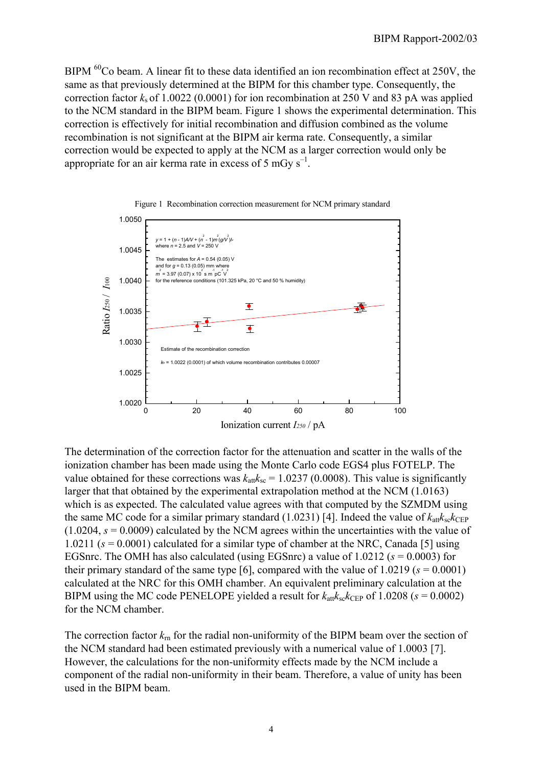BIPM <sup>60</sup>Co beam. A linear fit to these data identified an ion recombination effect at 250V, the same as that previously determined at the BIPM for this chamber type. Consequently, the correction factor  $k<sub>s</sub>$  of 1.0022 (0.0001) for ion recombination at 250 V and 83 pA was applied to the NCM standard in the BIPM beam. Figure 1 shows the experimental determination. This correction is effectively for initial recombination and diffusion combined as the volume recombination is not significant at the BIPM air kerma rate. Consequently, a similar correction would be expected to apply at the NCM as a larger correction would only be appropriate for an air kerma rate in excess of 5 mGv  $s^{-1}$ .





The determination of the correction factor for the attenuation and scatter in the walls of the ionization chamber has been made using the Monte Carlo code EGS4 plus FOTELP. The value obtained for these corrections was  $k_{\text{att}}k_{\text{sc}} = 1.0237 (0.0008)$ . This value is significantly larger that that obtained by the experimental extrapolation method at the NCM (1.0163) which is as expected. The calculated value agrees with that computed by the SZMDM using the same MC code for a similar primary standard  $(1.0231)$  [4]. Indeed the value of  $k_{\text{att}}k_{\text{sc}}k_{\text{CEP}}$  $(1.0204, s = 0.0009)$  calculated by the NCM agrees within the uncertainties with the value of 1.0211 (*s* = 0.0001) calculated for a similar type of chamber at the NRC, Canada [5] using EGSnrc. The OMH has also calculated (using EGSnrc) a value of 1.0212 (*s* = 0.0003) for their primary standard of the same type [6], compared with the value of  $1.0219$  ( $s = 0.0001$ ) calculated at the NRC for this OMH chamber. An equivalent preliminary calculation at the BIPM using the MC code PENELOPE yielded a result for  $k_{\text{att}}k_{\text{sc}}k_{\text{CEP}}$  of 1.0208 ( $s = 0.0002$ ) for the NCM chamber.

The correction factor  $k_{\rm m}$  for the radial non-uniformity of the BIPM beam over the section of the NCM standard had been estimated previously with a numerical value of 1.0003 [7]. However, the calculations for the non-uniformity effects made by the NCM include a component of the radial non-uniformity in their beam. Therefore, a value of unity has been used in the BIPM beam.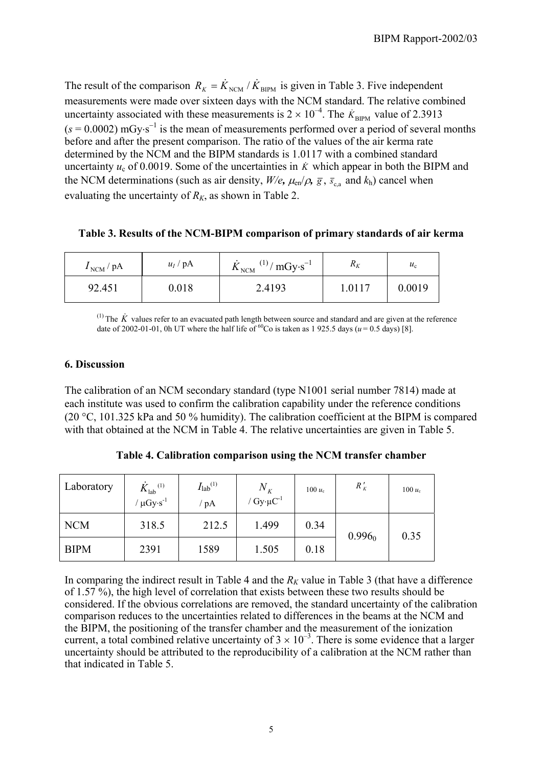The result of the comparison  $R_K = K_{NCM} / K_{RIPM}$  is given in Table 3. Five independent measurements were made over sixteen days with the NCM standard. The relative combined uncertainty associated with these measurements is  $2 \times 10^{-4}$ . The  $\dot{K}_{\text{BIPM}}$  value of 2.3913  $(s = 0.0002)$  mGy⋅s<sup>-1</sup> is the mean of measurements performed over a period of several months before and after the present comparison. The ratio of the values of the air kerma rate determined by the NCM and the BIPM standards is 1.0117 with a combined standard uncertainty  $u_c$  of 0.0019. Some of the uncertainties in  $\dot{K}$  which appear in both the BIPM and the NCM determinations (such as air density,  $W/e$ ,  $\mu_{en}/\rho$ ,  $\bar{g}$ ,  $\bar{s}_{ca}$  and  $k_h$ ) cancel when evaluating the uncertainty of  $R_K$ , as shown in Table 2.

**Table 3. Results of the NCM-BIPM comparison of primary standards of air kerma**

| $I_{\text{NCM}}$ / pA | $u_I$ / pA | $_{\rm M}$ (1) / mGy·s <sup>-1</sup><br>$K_{\text{NCM}}$ | $R_K$  | $u_{\rm c}$ |
|-----------------------|------------|----------------------------------------------------------|--------|-------------|
| 92.451                | 0.018      | 2.4193                                                   | 1.0117 | 0.0019      |

<sup>(1)</sup> The  $\dot{K}$  values refer to an evacuated path length between source and standard and are given at the reference date of 2002-01-01, 0h UT where the half life of <sup>60</sup>Co is taken as 1 925.5 days ( $u = 0.5$  days) [8].

### **6. Discussion**

The calibration of an NCM secondary standard (type N1001 serial number 7814) made at each institute was used to confirm the calibration capability under the reference conditions (20 °C, 101.325 kPa and 50 % humidity). The calibration coefficient at the BIPM is compared with that obtained at the NCM in Table 4. The relative uncertainties are given in Table 5.

| Laboratory  | $\dot{K}_{\rm lab}$ <sup>(1)</sup><br>$\mu$ Gy·s <sup>-1</sup> | $I_{\text{lab}}^{(1)}$<br>$'$ pA | $N_{K}$<br>/ $Gy \cdot \mu C^{-1}$ | 100 $u_c$ | $R_K'$    | $100 u_c$ |
|-------------|----------------------------------------------------------------|----------------------------------|------------------------------------|-----------|-----------|-----------|
| <b>NCM</b>  | 318.5                                                          | 212.5                            | 1.499                              | 0.34      | $0.996_0$ | 0.35      |
| <b>BIPM</b> | 2391                                                           | 1589                             | 1.505                              | 0.18      |           |           |

**Table 4. Calibration comparison using the NCM transfer chamber**

In comparing the indirect result in Table 4 and the  $R_K$  value in Table 3 (that have a difference of 1.57 %), the high level of correlation that exists between these two results should be considered. If the obvious correlations are removed, the standard uncertainty of the calibration comparison reduces to the uncertainties related to differences in the beams at the NCM and the BIPM, the positioning of the transfer chamber and the measurement of the ionization current, a total combined relative uncertainty of  $3 \times 10^{-3}$ . There is some evidence that a larger uncertainty should be attributed to the reproducibility of a calibration at the NCM rather than that indicated in Table 5.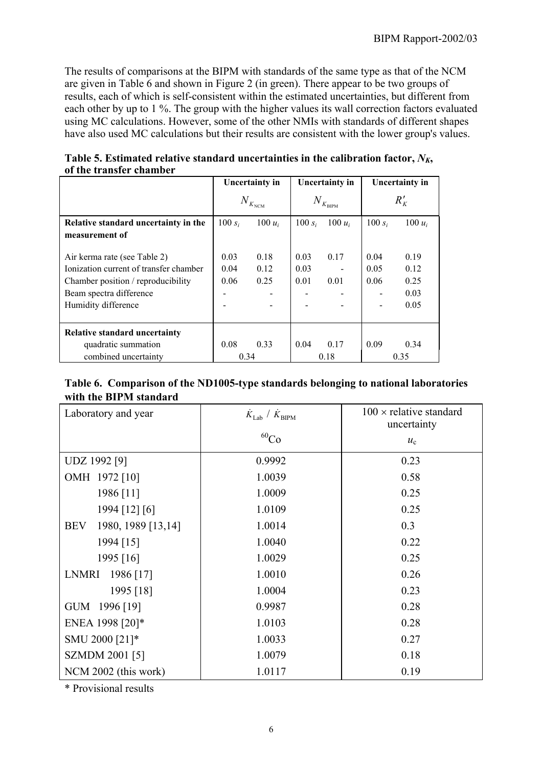The results of comparisons at the BIPM with standards of the same type as that of the NCM are given in Table 6 and shown in Figure 2 (in green). There appear to be two groups of results, each of which is self-consistent within the estimated uncertainties, but different from each other by up to 1 %. The group with the higher values its wall correction factors evaluated using MC calculations. However, some of the other NMIs with standards of different shapes have also used MC calculations but their results are consistent with the lower group's values.

|                                                                                                                                                                | <b>Uncertainty in</b>                |                      | <b>Uncertainty in</b>            |              | <b>Uncertainty in</b> |                                      |
|----------------------------------------------------------------------------------------------------------------------------------------------------------------|--------------------------------------|----------------------|----------------------------------|--------------|-----------------------|--------------------------------------|
|                                                                                                                                                                | $N_{\scriptscriptstyle K_{\rm NCM}}$ |                      | $N_{\mathit{K}_{\mathrm{BIPM}}}$ |              | $R'_{K}$              |                                      |
| Relative standard uncertainty in the                                                                                                                           | 100 $s_i$                            | 100 $u_i$            | 100 $s_i$                        | $100 u_i$    | 100 $s_i$             | 100 $u_i$                            |
| measurement of                                                                                                                                                 |                                      |                      |                                  |              |                       |                                      |
| Air kerma rate (see Table 2)<br>Ionization current of transfer chamber<br>Chamber position / reproducibility<br>Beam spectra difference<br>Humidity difference | 0.03<br>0.04<br>0.06                 | 0.18<br>0.12<br>0.25 | 0.03<br>0.03<br>0.01             | 0.17<br>0.01 | 0.04<br>0.05<br>0.06  | 0.19<br>0.12<br>0.25<br>0.03<br>0.05 |
| <b>Relative standard uncertainty</b>                                                                                                                           |                                      |                      |                                  |              |                       |                                      |
| quadratic summation                                                                                                                                            | 0.08                                 | 0.33                 | 0.04                             | 0.17         | 0.09                  | 0.34                                 |
| combined uncertainty                                                                                                                                           | 0.34                                 |                      | 0.18                             |              | 0.35                  |                                      |

| Table 5. Estimated relative standard uncertainties in the calibration factor, $N_{K_2}$ |
|-----------------------------------------------------------------------------------------|
| of the transfer chamber                                                                 |

| Table 6. Comparison of the ND1005-type standards belonging to national laboratories |
|-------------------------------------------------------------------------------------|
| with the BIPM standard                                                              |

| Laboratory and year              | $\dot{K}_{\rm Lab}$ / $\dot{K}_{\rm BIPM}$ | $100 \times$ relative standard<br>uncertainty |  |
|----------------------------------|--------------------------------------------|-----------------------------------------------|--|
|                                  | $^{60}Co$                                  | $u_{c}$                                       |  |
| UDZ 1992 [9]                     | 0.9992                                     | 0.23                                          |  |
| OMH 1972 [10]                    | 1.0039                                     | 0.58                                          |  |
| 1986 [11]                        | 1.0009                                     | 0.25                                          |  |
| 1994 [12] [6]                    | 1.0109                                     | 0.25                                          |  |
| 1980, 1989 [13,14]<br><b>BEV</b> | 1.0014                                     | 0.3                                           |  |
| 1994 [15]                        | 1.0040                                     | 0.22                                          |  |
| 1995 [16]                        | 1.0029                                     | 0.25                                          |  |
| LNMRI 1986 [17]                  | 1.0010                                     | 0.26                                          |  |
| 1995 [18]                        | 1.0004                                     | 0.23                                          |  |
| GUM 1996 [19]                    | 0.9987                                     | 0.28                                          |  |
| ENEA 1998 [20]*                  | 1.0103                                     | 0.28                                          |  |
| SMU 2000 [21]*                   | 1.0033                                     | 0.27                                          |  |
| <b>SZMDM 2001 [5]</b>            | 1.0079                                     | 0.18                                          |  |
| NCM 2002 (this work)             | 1.0117                                     | 0.19                                          |  |

\* Provisional results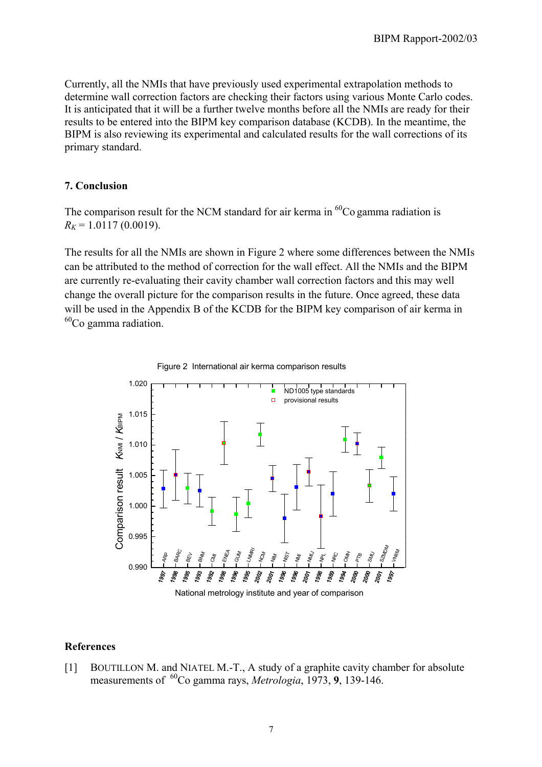Currently, all the NMIs that have previously used experimental extrapolation methods to determine wall correction factors are checking their factors using various Monte Carlo codes. It is anticipated that it will be a further twelve months before all the NMIs are ready for their results to be entered into the BIPM key comparison database (KCDB). In the meantime, the BIPM is also reviewing its experimental and calculated results for the wall corrections of its primary standard.

#### **7. Conclusion**

The comparison result for the NCM standard for air kerma in  ${}^{60}$ Co gamma radiation is  $R_K$  = 1.0117 (0.0019).

Figure 2 International air kerma comparison results

The results for all the NMIs are shown in Figure 2 where some differences between the NMIs can be attributed to the method of correction for the wall effect. All the NMIs and the BIPM are currently re-evaluating their cavity chamber wall correction factors and this may well change the overall picture for the comparison results in the future. Once agreed, these data will be used in the Appendix B of the KCDB for the BIPM key comparison of air kerma in  $60^{\circ}$ Co gamma radiation.



National metrology institute and year of comparison

#### **References**

[1] BOUTILLON M. and NIATEL M.-T., A study of a graphite cavity chamber for absolute measurements of <sup>60</sup>Co gamma rays, *Metrologia*, 1973, 9, 139-146.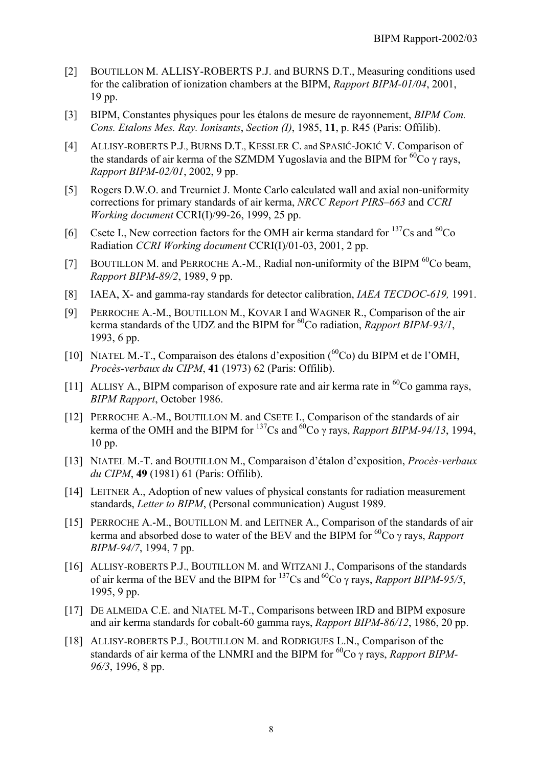- [2] BOUTILLON M. ALLISY-ROBERTS P.J. and BURNS D.T., Measuring conditions used for the calibration of ionization chambers at the BIPM, *Rapport BIPM-01/04*, 2001, 19 pp.
- [3] BIPM, Constantes physiques pour les étalons de mesure de rayonnement, *BIPM Com. Cons. Etalons Mes. Ray. Ionisants*, *Section (I)*, 1985, **11**, p. R45 (Paris: Offilib).
- [4] ALLISY-ROBERTS P.J., BURNS D.T., KESSLER C. and SPASIĆ-JOKIĆ V. Comparison of the standards of air kerma of the SZMDM Yugoslavia and the BIPM for  ${}^{60}Co$  γ rays, *Rapport BIPM-02/01*, 2002, 9 pp.
- [5] Rogers D.W.O. and Treurniet J. Monte Carlo calculated wall and axial non-uniformity corrections for primary standards of air kerma, *NRCC Report PIRS–663* and *CCRI Working document* CCRI(I)/99-26, 1999, 25 pp.
- [6] Csete I., New correction factors for the OMH air kerma standard for  $^{137}Cs$  and  $^{60}Co$ Radiation *CCRI Working document* CCRI(I)/01-03, 2001, 2 pp.
- [7] BOUTILLON M. and PERROCHE A.-M., Radial non-uniformity of the BIPM  $^{60}$ Co beam, *Rapport BIPM-89/2*, 1989, 9 pp.
- [8] IAEA, X- and gamma-ray standards for detector calibration, *IAEA TECDOC-619,* 1991.
- [9] PERROCHE A.-M., BOUTILLON M., KOVAR I and WAGNER R., Comparison of the air kerma standards of the UDZ and the BIPM for 60Co radiation, *Rapport BIPM-93/1*, 1993, 6 pp.
- [10] NIATEL M.-T., Comparaison des étalons d'exposition  $(^{60}Co)$  du BIPM et de l'OMH, *Procès-verbaux du CIPM*, **41** (1973) 62 (Paris: Offilib).
- [11] ALLISY A., BIPM comparison of exposure rate and air kerma rate in  ${}^{60}Co$  gamma rays, *BIPM Rapport*, October 1986.
- [12] PERROCHE A.-M., BOUTILLON M. and CSETE I., Comparison of the standards of air kerma of the OMH and the BIPM for  $^{137}Cs$  and  $^{60}Co \gamma$  rays, *Rapport BIPM-94/13*, 1994, 10 pp.
- [13] NIATEL M.-T. and BOUTILLON M., Comparaison d'étalon d'exposition, *Procès-verbaux du CIPM*, **49** (1981) 61 (Paris: Offilib).
- [14] LEITNER A., Adoption of new values of physical constants for radiation measurement standards, *Letter to BIPM*, (Personal communication) August 1989.
- [15] PERROCHE A.-M., BOUTILLON M. and LEITNER A., Comparison of the standards of air kerma and absorbed dose to water of the BEV and the BIPM for 60Co γ rays, *Rapport BIPM-94/7*, 1994, 7 pp.
- [16] ALLISY-ROBERTS P.J., BOUTILLON M. and WITZANI J., Comparisons of the standards of air kerma of the BEV and the BIPM for  $^{137}Cs$  and  $^{60}Co$  γ rays, *Rapport BIPM-95/5*, 1995, 9 pp.
- [17] DE ALMEIDA C.E. and NIATEL M-T., Comparisons between IRD and BIPM exposure and air kerma standards for cobalt-60 gamma rays, *Rapport BIPM-86/12*, 1986, 20 pp.
- [18] ALLISY-ROBERTS P.J., BOUTILLON M. and RODRIGUES L.N., Comparison of the standards of air kerma of the LNMRI and the BIPM for <sup>60</sup>Co γ rays, *Rapport BIPM*-*96/3*, 1996, 8 pp.